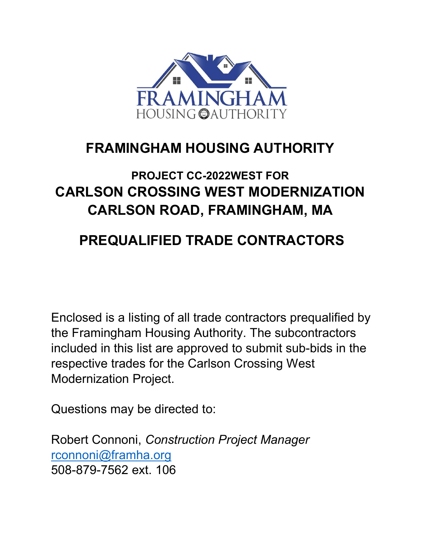

## FRAMINGHAM HOUSING AUTHORITY

## PROJECT CC-2022WEST FOR CARLSON CROSSING WEST MODERNIZATION CARLSON ROAD, FRAMINGHAM, MA

## PREQUALIFIED TRADE CONTRACTORS

Enclosed is a listing of all trade contractors prequalified by the Framingham Housing Authority. The subcontractors included in this list are approved to submit sub-bids in the respective trades for the Carlson Crossing West Modernization Project.

Questions may be directed to:

Robert Connoni, Construction Project Manager rconnoni@framha.org 508-879-7562 ext. 106